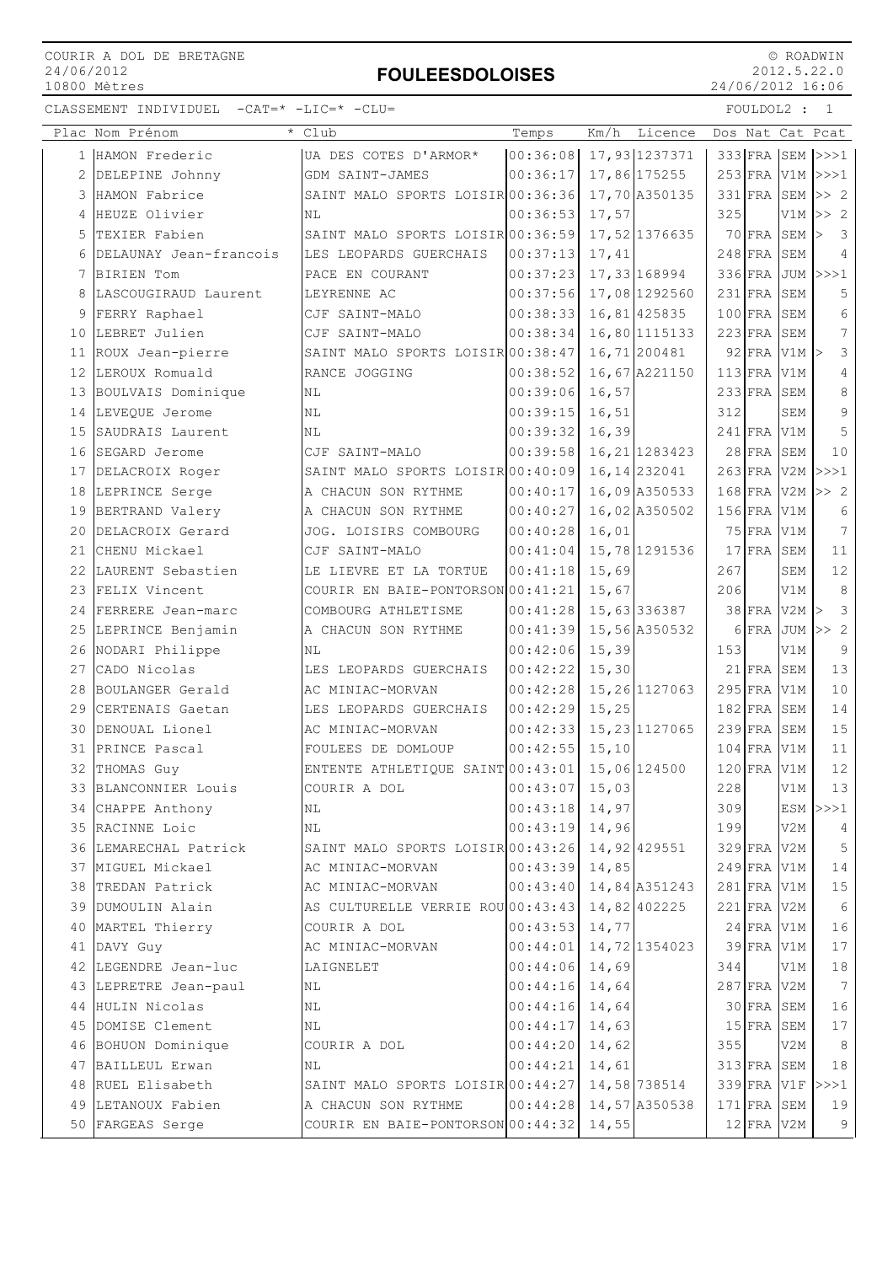# FOULEESDOLOISES

 © ROADWIN 2012.5.22.0 24/06/2012 16:06

|    | Plac Nom Prénom        | Club                              | Temps    | Km/h   | Licence        |     |                  |                | Dos Nat Cat Pcat              |
|----|------------------------|-----------------------------------|----------|--------|----------------|-----|------------------|----------------|-------------------------------|
|    | 1 HAMON Frederic       | UA DES COTES D'ARMOR*             | 00:36:08 |        | 17,93 1237371  |     |                  |                | 333 FRA SEM >>>1              |
| 2  | DELEPINE Johnny        | GDM SAINT-JAMES                   | 00:36:17 |        | 17,86 175255   |     |                  |                | $253$ FRA V1M >>>1            |
|    | 3 HAMON Fabrice        | SAINT MALO SPORTS LOISIR 00:36:36 |          |        | 17,70 A350135  |     | 331 FRA SEM      |                | >> 2                          |
| 4  | HEUZE Olivier          | NL                                | 00:36:53 | 17,57  |                | 325 |                  | V1M            | >> 2                          |
| 5  | TEXIER Fabien          | SAINT MALO SPORTS LOISIR 00:36:59 |          |        | 17,52 1376635  |     | 70 FRA SEM       |                | $\overline{\mathbf{3}}$<br>l> |
| 6  | DELAUNAY Jean-francois | LES LEOPARDS GUERCHAIS            | 00:37:13 | 17,41  |                |     | $248$ FRA        | SEM            | 4                             |
| 7  | BIRIEN Tom             | PACE EN COURANT                   | 00:37:23 |        | 17,33 168994   |     | 336 FRA JUM      |                | >>>1                          |
| 8  | LASCOUGIRAUD Laurent   | LEYRENNE AC                       | 00:37:56 |        | 17,08 1292560  |     | $231$ FRA        | SEM            | 5                             |
| 9  | FERRY Raphael          | CJF SAINT-MALO                    | 00:38:33 |        | 16,81 425835   |     | $100$ FRA        | SEM            | 6                             |
|    | 10 LEBRET Julien       | CJF SAINT-MALO                    | 00:38:34 |        | 16,80 1115133  |     | $223$ FRA SEM    |                | $7\overline{ }$               |
| 11 | ROUX Jean-pierre       | SAINT MALO SPORTS LOISIR 00:38:47 |          |        | 16,71 200481   |     |                  | 92 FRA V1M >   | 3                             |
|    | 12 LEROUX Romuald      | RANCE JOGGING                     | 00:38:52 |        | 16,67 A221150  |     | 113 FRA V1M      |                | 4                             |
|    | 13 BOULVAIS Dominique  | ΝL                                | 00:39:06 | 16,57  |                |     | 233 FRA SEM      |                | 8                             |
|    | 14 LEVEQUE Jerome      | NL                                | 00:39:15 | 16,51  |                | 312 |                  | SEM            | 9                             |
| 15 | SAUDRAIS Laurent       | NL                                | 00:39:32 | 16,39  |                |     | $241$ FRA V1M    |                | 5                             |
| 16 | SEGARD Jerome          | CJF SAINT-MALO                    | 00:39:58 |        | 16, 21 1283423 |     | 28 FRA SEM       |                | 10                            |
|    | 17 DELACROIX Roger     | SAINT MALO SPORTS LOISIR 00:40:09 |          |        | 16, 14 232041  |     | $263$ FRA V2M    |                | >>>1                          |
|    | 18 LEPRINCE Serge      | A CHACUN SON RYTHME               | 00:40:17 |        | 16,09 A350533  |     | 168 FRA V2M      |                | >> 2                          |
|    | 19 BERTRAND Valery     | A CHACUN SON RYTHME               | 00:40:27 |        | 16,02 A350502  |     | 156 FRA V1M      |                | 6                             |
| 20 | DELACROIX Gerard       | JOG. LOISIRS COMBOURG             | 00:40:28 | 16,01  |                |     | 75 FRA V1M       |                | $7\phantom{.0}$               |
| 21 | CHENU Mickael          | CJF SAINT-MALO                    | 00:41:04 |        | 15,78 1291536  |     | $17$ $FRA$       | SEM            | 11                            |
|    | 22 LAURENT Sebastien   | LE LIEVRE ET LA TORTUE            | 00:41:18 | 15,69  |                | 267 |                  | SEM            | 12                            |
|    | 23 FELIX Vincent       | COURIR EN BAIE-PONTORSON 00:41:21 |          | 15,67  |                | 206 |                  | V1M            | 8                             |
|    | 24 FERRERE Jean-marc   | COMBOURG ATHLETISME               | 00:41:28 |        | 15,63 336387   |     | 38 FRA V2M       |                | $\mathcal{E}$                 |
| 25 | LEPRINCE Benjamin      | A CHACUN SON RYTHME               | 00:41:39 |        | 15,56 A350532  |     | 6 FRA JUM        |                | >> 2                          |
| 26 | NODARI Philippe        | NL                                | 00:42:06 | 15,39  |                | 153 |                  | V1M            | 9                             |
| 27 | CADO Nicolas           | LES LEOPARDS GUERCHAIS            | 00:42:22 | 15,30  |                |     | 21 FRA SEM       |                | 13                            |
|    | 28 BOULANGER Gerald    | AC MINIAC-MORVAN                  | 00:42:28 |        | 15, 26 1127063 |     | 295 FRA V1M      |                | 10                            |
|    | 29 CERTENAIS Gaetan    | LES LEOPARDS GUERCHAIS            | 00:42:29 | 15,25  |                |     | $182$ FRA        | SEM            | 14                            |
|    | 30 DENOUAL Lionel      | AC MINIAC-MORVAN                  | 00:42:33 |        | 15, 23 1127065 |     | $239$ FRA SEM    |                | 15                            |
|    | 31 PRINCE Pascal       | FOULEES DE DOMLOUP                | 00:42:55 | 15, 10 |                |     | $104$ FRA        | V1M            | 11                            |
|    | 32 THOMAS Guy          | ENTENTE ATHLETIQUE SAINT 00:43:01 |          |        | 15,06 124500   |     | $120$ FRA        | V1M            | 12                            |
|    | 33 BLANCONNIER Louis   | COURIR A DOL                      | 00:43:07 | 15,03  |                | 228 |                  | V1M            | 13                            |
| 34 | CHAPPE Anthony         | NL                                | 00:43:18 | 14,97  |                | 309 |                  | ESM            | >>>1                          |
|    | 35 RACINNE Loic        | NL                                | 00:43:19 | 14,96  |                | 199 |                  | V2M            | 4                             |
|    | 36 LEMARECHAL Patrick  | SAINT MALO SPORTS LOISIR 00:43:26 |          |        | 14,92 429551   |     | 329 FRA V2M      |                | 5                             |
|    | 37 MIGUEL Mickael      | AC MINIAC-MORVAN                  | 00:43:39 | 14,85  |                |     | $249$ FRA V1M    |                | 14                            |
|    | 38 TREDAN Patrick      | AC MINIAC-MORVAN                  | 00:43:40 |        | 14,84 A351243  |     | 281 FRA V1M      |                | 15                            |
|    | 39 DUMOULIN Alain      | AS CULTURELLE VERRIE ROU 00:43:43 |          |        | 14,82 402225   |     | 221 FRA V2M      |                | 6                             |
| 40 | MARTEL Thierry         | COURIR A DOL                      | 00:43:53 | 14,77  |                |     | $24$ FRA V1M     |                | 16                            |
| 41 | DAVY Guy               | AC MINIAC-MORVAN                  | 00:44:01 |        | 14,72 1354023  |     | $39$ $FRA$ $V1M$ |                | 17                            |
|    | 42 LEGENDRE Jean-luc   | LAIGNELET                         | 00:44:06 | 14,69  |                | 344 |                  | V1M            | 18                            |
|    | 43 LEPRETRE Jean-paul  | NL                                | 00:44:16 | 14,64  |                |     | 287 FRA V2M      |                | $7\phantom{.0}$               |
|    | 44 HULIN Nicolas       | ΝL                                | 00:44:16 | 14,64  |                |     | $30$ FRA         | SEM            | 16                            |
|    | 45 DOMISE Clement      | ΝL                                | 00:44:17 | 14,63  |                |     | $15$ FRA SEM     |                | 17                            |
|    | 46 BOHUON Dominique    | COURIR A DOL                      | 00:44:20 | 14,62  |                | 355 |                  | V2M            | 8                             |
|    | 47 BAILLEUL Erwan      | ΝL                                | 00:44:21 | 14,61  |                |     | $313$ FRA SEM    |                | 18                            |
|    | 48 RUEL Elisabeth      | SAINT MALO SPORTS LOISIR 00:44:27 |          |        | 14,58 738514   |     | 339 FRA V1F      |                | >>>1                          |
|    | 49 LETANOUX Fabien     | A CHACUN SON RYTHME               | 00:44:28 |        | 14,57 A350538  |     | 171 FRA SEM      |                | 19                            |
| 50 | FARGEAS Serge          | COURIR EN BAIE-PONTORSON 00:44:32 |          | 14,55  |                |     |                  | $12$ FRA $V2M$ | 9                             |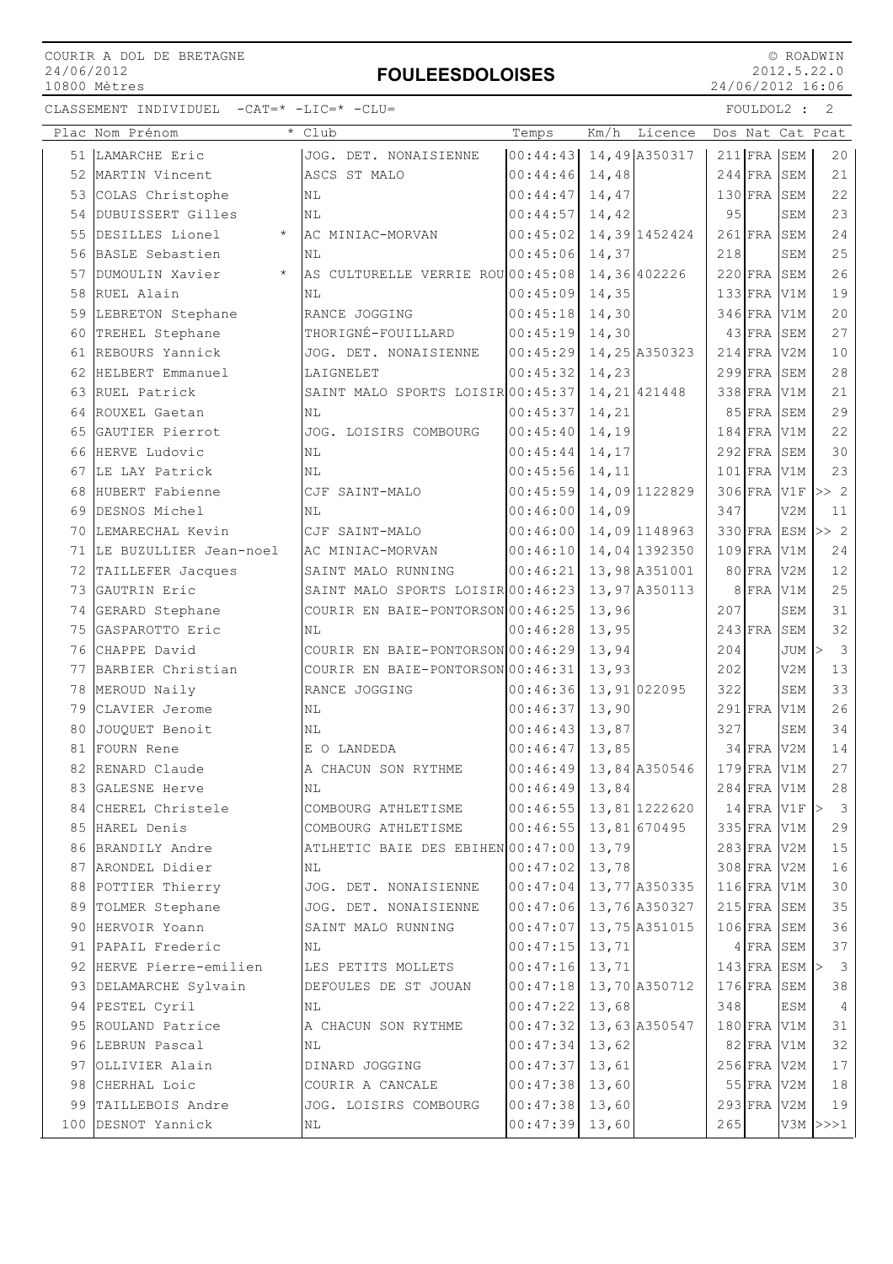# FOULEESDOLOISES

 © ROADWIN 2012.5.22.0 24/06/2012 16:06

|    | Plac Nom Prénom<br>$\star$ | Club                                    | Temps            | Licence<br>Km/h            | Dos Nat Cat Pcat     |                  |                         |
|----|----------------------------|-----------------------------------------|------------------|----------------------------|----------------------|------------------|-------------------------|
|    | 51 LAMARCHE Eric           | JOG. DET. NONAISIENNE                   |                  | $ 00:44:43 $ 14,49 A350317 | 211 FRA SEM          |                  | 20                      |
|    | 52 MARTIN Vincent          | ASCS ST MALO                            | 00:44:46         | 14,48                      | $244$ FRA SEM        |                  | 21                      |
|    | 53 COLAS Christophe        | ΝL                                      | 00:44:47         | 14,47                      | 130 FRA SEM          |                  | 22                      |
| 54 | DUBUISSERT Gilles          | ΝL                                      | 00:44:57         | 14,42                      | 95                   | SEM              | 23                      |
| 55 | DESILLES Lionel<br>$\star$ | AC MINIAC-MORVAN                        | 00:45:02         | 14,39 1452424              | $261$ FRA            | SEM              | 24                      |
| 56 | BASLE Sebastien            | NL                                      | 00:45:06         | 14,37                      | 218                  | SEM              | 25                      |
| 57 | $\star$<br>DUMOULIN Xavier | AS CULTURELLE VERRIE ROU 00:45:08       |                  | 14,36 402226               | $220$ FRA SEM        |                  | 26                      |
|    | 58 RUEL Alain              | NL                                      | 00:45:09         | 14,35                      | $133$ FRA V1M        |                  | 19                      |
|    | 59 LEBRETON Stephane       | RANCE JOGGING                           | 00:45:18         | 14,30                      | 346 FRA V1M          |                  | 20                      |
|    | 60 TREHEL Stephane         | THORIGNÉ-FOUILLARD                      | 00:45:19         | 14,30                      | $43$ FRA             | SEM              | 27                      |
| 61 | REBOURS Yannick            | JOG. DET. NONAISIENNE                   | 00:45:29         | 14,25 A350323              | 214 FRA V2M          |                  | $10$                    |
|    | 62 HELBERT Emmanuel        | LAIGNELET                               | 00:45:32         | 14,23                      | 299 FRA SEM          |                  | 28                      |
|    | 63 RUEL Patrick            | SAINT MALO SPORTS LOISIR 00:45:37       |                  | 14, 21 421448              | 338 FRA V1M          |                  | 21                      |
|    | 64 ROUXEL Gaetan           | ΝL                                      | 00:45:37         | 14,21                      | 85 FRA SEM           |                  | 29                      |
| 65 | GAUTIER Pierrot            | JOG. LOISIRS COMBOURG                   | 00:45:40         | 14,19                      | $184$ FRA            | V1M              | 22                      |
| 66 | HERVE Ludovic              | <b>NL</b>                               | 00:45:44         | 14,17                      | $292$ FRA SEM        |                  | 30                      |
|    | 67 ILE LAY Patrick         | ΝL                                      | 00:45:56         | 14,11                      | $101$ FRA V1M        |                  | 23                      |
|    | 68 HUBERT Fabienne         | CJF SAINT-MALO                          | 00:45:59         | 14,09 1122829              | 306 FRA V1F          |                  | >> 2                    |
|    | 69 DESNOS Michel           | ΝL                                      | 00:46:00         | 14,09                      | 347                  | V2M              | 11                      |
|    | 70 LEMARECHAL Kevin        | CJF SAINT-MALO                          |                  | $00:46:00$ 14,09 1148963   | $330$ FRA ESM $>> 2$ |                  |                         |
|    | 71 LE BUZULLIER Jean-noel  | AC MINIAC-MORVAN                        | 00:46:10         | 14,04 1392350              | $109$ $FRA$ $V1M$    |                  | 24                      |
| 72 | TAILLEFER Jacques          | SAINT MALO RUNNING                      | 00:46:21         | 13,98 A351001              | 80 FRA               | V <sub>2M</sub>  | 12                      |
|    | 73 GAUTRIN Eric            | SAINT MALO SPORTS LOISIR 00:46:23       |                  | 13,97 A350113              | $8$ FRA V1M          |                  | 25                      |
|    | 74 GERARD Stephane         | COURIR EN BAIE-PONTORSON 00:46:25       |                  | 13,96                      | 207                  | SEM              | 31                      |
| 75 | GASPAROTTO Eric            | <b>NL</b>                               | 00:46:28         | 13,95                      | $243$ FRA            | SEM              | 32                      |
|    | 76 CHAPPE David            | COURIR EN BAIE-PONTORSON 00:46:29       |                  | 13,94                      | 204                  | $JUM$ >          | $\overline{\mathbf{3}}$ |
|    | 77 BARBIER Christian       | COURIR EN BAIE-PONTORSON 00:46:31       |                  | 13,93                      | 202                  | V2M              | 13                      |
|    | 78 MEROUD Naily            | RANCE JOGGING                           | 00:46:36         | 13,91 022095               | 322                  | SEM              | 33                      |
|    | 79 CLAVIER Jerome          | ΝL                                      | 00:46:37         | 13,90                      | $291$ FRA            | V1M              | 26                      |
| 80 | JOUQUET Benoit             | NL                                      | 00:46:43         | 13,87                      | 327                  | SEM              | 34                      |
| 81 | FOURN Rene                 | E O LANDEDA                             | 00:46:47         | 13,85                      | $34$ FRA             | V <sub>2</sub> M | 14                      |
|    | 82 RENARD Claude           | A CHACUN SON RYTHME                     | 00:46:49         | 13,84 A350546              | 179 FRA V1M          |                  | 27                      |
|    | 83 GALESNE Herve           | $\rm NL$                                | 00:46:49         | 13,84                      | 284 FRA V1M          |                  | 28                      |
| 84 | CHEREL Christele           | COMBOURG ATHLETISME                     | 00:46:55         | 13,81 1222620              | $14$ FRA V1F $>$     |                  | $\overline{\mathbf{3}}$ |
|    | 85 HAREL Denis             | COMBOURG ATHLETISME                     |                  | $ 00:46:55 $ 13,81 670495  | 335 FRA V1M          |                  | 29                      |
|    | 86 BRANDILY Andre          | ATLHETIC BAIE DES EBIHEN 00:47:00 13,79 |                  |                            | $283$ FRA V2M        |                  | 15                      |
|    | 87 ARONDEL Didier          | ΝL                                      | 00:47:02         | 13,78                      | 308 FRA V2M          |                  | 16                      |
|    | 88 POTTIER Thierry         | JOG. DET. NONAISIENNE                   |                  | $00:47:04$ 13, 77 A350335  | $116$ FRA V1M        |                  | 30                      |
|    | 89 TOLMER Stephane         | JOG. DET. NONAISIENNE                   | 00:47:06         | 13,76 A350327              | $215$ FRA SEM        |                  | 35                      |
| 90 | HERVOIR Yoann              | SAINT MALO RUNNING                      | 00:47:07         | 13,75 A351015              | $106$ FRA SEM        |                  | 36                      |
| 91 | PAPAIL Frederic            | ΝL                                      | 00:47:15         | 13,71                      | 4 FRA SEM            |                  | 37                      |
|    | 92 HERVE Pierre-emilien    | LES PETITS MOLLETS                      | 00:47:16         | 13,71                      | $143$ FRA ESM $>$    |                  | $\overline{\mathbf{3}}$ |
|    | 93 DELAMARCHE Sylvain      | DEFOULES DE ST JOUAN                    | 00:47:18         | 13,70 A350712              | $176$ FRA SEM        |                  | 38                      |
|    | 94 PESTEL Cyril            | NL                                      | 00:47:22         | 13,68                      | 348                  | ESM              | $\overline{4}$          |
|    | 95 ROULAND Patrice         | A CHACUN SON RYTHME                     | 00:47:32         | 13,63 A350547              | 180 FRA V1M          |                  | 31                      |
|    | 96 LEBRUN Pascal           | ΝL                                      | $00:47:34$ 13,62 |                            | 82 FRA V1M           |                  | 32                      |
|    | 97 OLLIVIER Alain          | DINARD JOGGING                          | 00:47:37         | 13,61                      | 256 FRA V2M          |                  | 17                      |
|    | 98 CHERHAL Loic            | COURIR A CANCALE                        | 00:47:38         | 13,60                      | $55$ FRA             | V <sub>2</sub> M | 18                      |
|    | 99 TAILLEBOIS Andre        | JOG. LOISIRS COMBOURG                   | 00:47:38         | 13,60                      | $293$ FRA            | V <sub>2</sub> M | 19                      |
|    | 100 DESNOT Yannick         | NL                                      | 00:47:39         | 13,60                      | 265                  |                  | $V3M \geq >>1$          |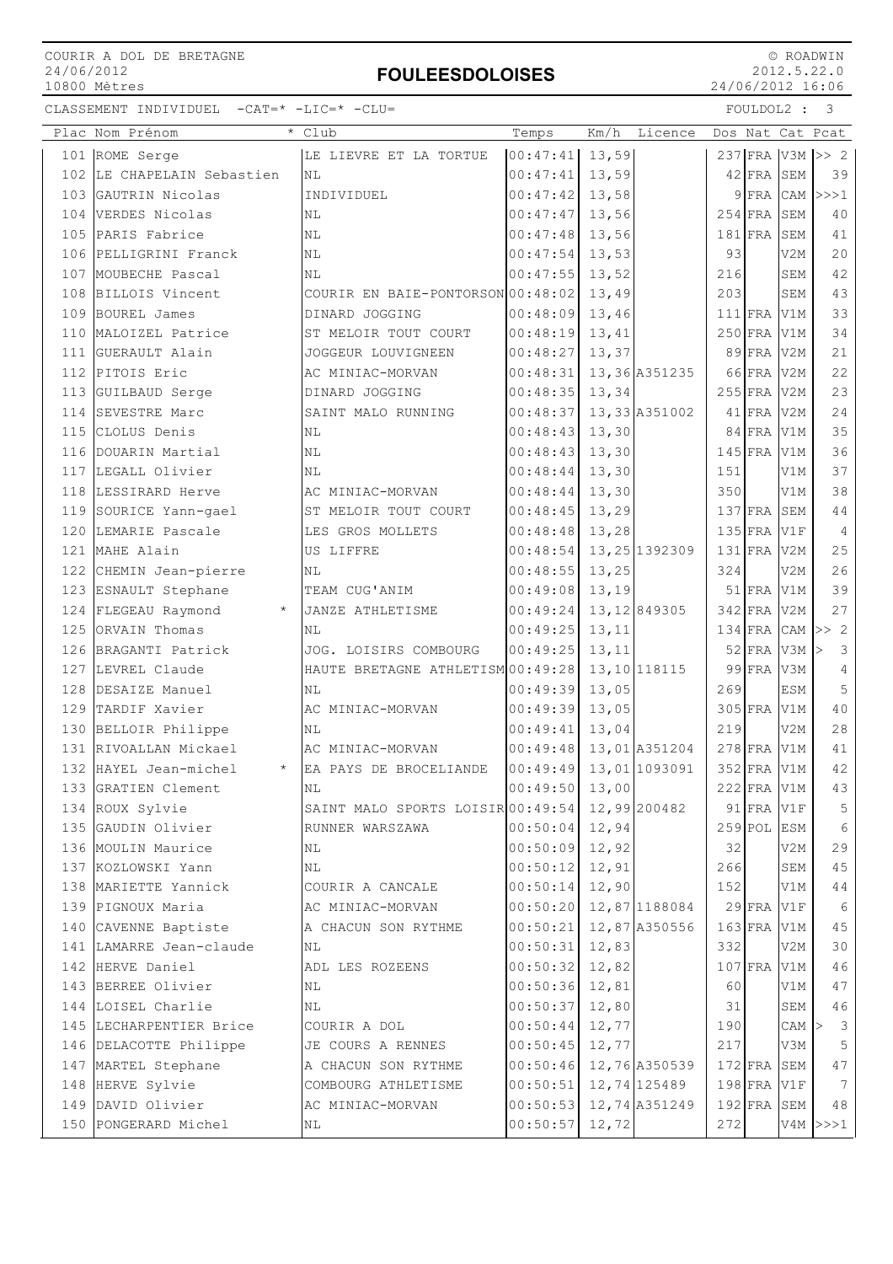### FOULEESDOLOISES

 © ROADWIN 2012.5.22.0 24/06/2012 16:06

|     | Plac Nom Prénom<br>$\star$      | Club                              | Temps            | Km/h         | Licence        |     |               |            | Dos Nat Cat Pcat              |
|-----|---------------------------------|-----------------------------------|------------------|--------------|----------------|-----|---------------|------------|-------------------------------|
|     | 101 ROME Serge                  | LE LIEVRE ET LA TORTUE            | $00:47:41$ 13,59 |              |                |     |               |            | 237 FRA V3M >> 2              |
| 102 | LE CHAPELAIN Sebastien          | NL                                | 00:47:41         | 13,59        |                |     | $42$ FRA      | SEM        | 39                            |
| 103 | GAUTRIN Nicolas                 | INDIVIDUEL                        | 00:47:42         | 13,58        |                |     | $9$ FRA CAM   |            | >>>1                          |
| 104 | VERDES Nicolas                  | ΝL                                | 00:47:47         | 13,56        |                |     | $254$ FRA     | SEM        | 40                            |
| 105 | PARIS Fabrice                   | ΝL                                | 00:47:48         | 13,56        |                |     | $181$ FRA     | SEM        | 41                            |
| 106 | PELLIGRINI Franck               | NL                                | 00:47:54         | 13,53        |                | 93  |               | V2M        | 20                            |
| 107 | MOUBECHE Pascal                 | ΝL                                | 00:47:55         | 13,52        |                | 216 |               | SEM        | 42                            |
| 108 | BILLOIS Vincent                 | COURIR EN BAIE-PONTORSON 00:48:02 |                  | 13,49        |                | 203 |               | SEM        | 43                            |
| 109 | BOUREL James                    | DINARD JOGGING                    | 00:48:09         | 13,46        |                |     | $111$ $FRA$   | V1M        | 33                            |
| 110 | MALOIZEL Patrice                | ST MELOIR TOUT COURT              | 00:48:19         | 13,41        |                |     | $250$ FRA     | V1M        | 34                            |
| 111 | GUERAULT Alain                  | JOGGEUR LOUVIGNEEN                | 00:48:27         | 13,37        |                |     | $89$ FRA      | V2M        | 21                            |
| 112 | PITOIS Eric                     | AC MINIAC-MORVAN                  | 00:48:31         |              | 13,36 A351235  |     | 66 FRA        | V2M        | 22                            |
| 113 | GUILBAUD Serge                  | DINARD JOGGING                    | 00:48:35         | 13,34        |                |     | $255$ FRA     | V2M        | 23                            |
| 114 | SEVESTRE Marc                   | SAINT MALO RUNNING                | 00:48:37         |              | 13,33 A351002  |     | $41$ FRA      | V2M        | 24                            |
| 115 | CLOLUS Denis                    | ΝL                                | 00:48:43         | 13,30        |                |     | 84 FRA        | V1M        | 35                            |
| 116 | DOUARIN Martial                 | NL                                | 00:48:43         | 13,30        |                |     | $145$ FRA     | V1M        | 36                            |
| 117 | LEGALL Olivier                  | NL                                | 00:48:44         | 13,30        |                | 151 |               | V1M        | 37                            |
| 118 | LESSIRARD Herve                 | AC MINIAC-MORVAN                  | 00:48:44         | 13,30        |                | 350 |               | V1M        | 38                            |
| 119 | SOURICE Yann-gael               | ST MELOIR TOUT COURT              | 00:48:45         | 13,29        |                |     | $137$ FRA     | SEM        | 44                            |
| 120 | LEMARIE Pascale                 | LES GROS MOLLETS                  | 00:48:48         | 13,28        |                |     | $135$ FRA     | V1F        | $\overline{4}$                |
| 121 | MAHE Alain                      | US LIFFRE                         | 00:48:54         |              | 13, 25 1392309 |     | $131$ FRA     | V2M        | 25                            |
|     | 122 CHEMIN Jean-pierre          | NL                                | 00:48:55         | 13,25        |                | 324 |               | V2M        | 26                            |
|     | 123 ESNAULT Stephane            | TEAM CUG'ANIM                     | 00:49:08         | 13,19        |                |     | $51$ FRA      | V1M        | 39                            |
|     | 124 FLEGEAU Raymond<br>$\star$  | JANZE ATHLETISME                  | 00:49:24         |              | 13, 12 849305  |     | $342$ FRA     | V2M        | 27                            |
| 125 | ORVAIN Thomas                   | ΝL                                | 00:49:25         | 13,11        |                |     | $134$ FRA     | CAM        | >> 2                          |
| 126 | BRAGANTI Patrick                | JOG. LOISIRS COMBOURG             | 00:49:25         | 13,11        |                |     | $52$ FRA      | V3M        | $\overline{\mathbf{3}}$<br>l> |
| 127 | LEVREL Claude                   | HAUTE BRETAGNE ATHLETISM 00:49:28 |                  |              | 13, 10 118115  |     | $99$ FRA      | V3M        | 4                             |
| 128 | DESAIZE Manuel                  | NL                                | 00:49:39         | 13,05        |                | 269 |               | <b>ESM</b> | 5                             |
|     | 129 TARDIF Xavier               | AC MINIAC-MORVAN                  | 00:49:39         | 13,05        |                |     | $305$ FRA     | V1M        | 40                            |
| 130 | BELLOIR Philippe                | ΝL                                | 00:49:41         | 13,04        |                | 219 |               | V2M        | 28                            |
|     | 131 RIVOALLAN Mickael           | AC MINIAC-MORVAN                  | 00:49:48         |              | 13,01 A351204  |     | $278$ FRA     | V1M        | 41                            |
| 132 | HAYEL Jean-michel<br>$^{\star}$ | EA PAYS DE BROCELIANDE            | 00:49:49         |              | 13,01 1093091  |     | $352$ FRA     | V1M        | 42                            |
|     | 133 GRATIEN Clement             | NL                                | 00:49:50         | 13,00        |                |     | $222$ FRA V1M |            | 43                            |
|     | 134 ROUX Sylvie                 | SAINT MALO SPORTS LOISIR 00:49:54 |                  | 12,99 200482 |                |     | $91$ FRA V1F  |            | 5                             |
|     | 135 GAUDIN Olivier              | RUNNER WARSZAWA                   | 00:50:04         | 12,94        |                |     | $259$ POL ESM |            | 6                             |
|     | 136 MOULIN Maurice              | ΝL                                | $00:50:09$ 12,92 |              |                | 32  |               | V2M        | 29                            |
|     | 137 KOZLOWSKI Yann              | ΝL                                | 00:50:12         | 12,91        |                | 266 |               | SEM        | 45                            |
|     | 138 MARIETTE Yannick            | COURIR A CANCALE                  | 00:50:14         | 12,90        |                | 152 |               | V1M        | $4\,4$                        |
|     | 139 PIGNOUX Maria               | AC MINIAC-MORVAN                  | 00:50:20         |              | 12,87 1188084  |     | $29$ FRA      | V1F        | 6                             |
|     | 140 CAVENNE Baptiste            | A CHACUN SON RYTHME               | 00:50:21         |              | 12,87 A350556  |     | $163$ FRA     | V1M        | 45                            |
|     | 141 LAMARRE Jean-claude         | ΝL                                | 00:50:31         | 12,83        |                | 332 |               | V2M        | 30                            |
|     | 142 HERVE Daniel                | ADL LES ROZEENS                   | 00:50:32         | 12,82        |                |     | $107$ FRA     | V1M        | 46                            |
|     | 143 BERREE Olivier              | ΝL                                | 00:50:36         | 12,81        |                | 60  |               | V1M        | 47                            |
|     | 144 LOISEL Charlie              | $\rm NL$                          | 00:50:37         | 12,80        |                | 31  |               | SEM        | 46                            |
|     | 145 LECHARPENTIER Brice         | COURIR A DOL                      | 00:50:44         | 12,77        |                | 190 |               | $CAM$ >    | $\overline{\mathbf{3}}$       |
|     | 146 DELACOTTE Philippe          | JE COURS A RENNES                 | 00:50:45         | 12,77        |                | 217 |               | V3M        | 5                             |
|     | 147 MARTEL Stephane             | A CHACUN SON RYTHME               | 00:50:46         |              | 12,76 A350539  |     | $172$ FRA     | SEM        | 47                            |
|     | 148 HERVE Sylvie                | COMBOURG ATHLETISME               | 00:50:51         |              | 12,74 125489   |     | 198 FRA V1F   |            | -7                            |
|     | 149 DAVID Olivier               | AC MINIAC-MORVAN                  | 00:50:53         |              | 12,74 A351249  |     | $192$ FRA     | SEM        | 48                            |
|     | 150 PONGERARD Michel            | ΝL                                | 00:50:57         | 12,72        |                | 272 |               |            | $V4M$ $>>$ 1                  |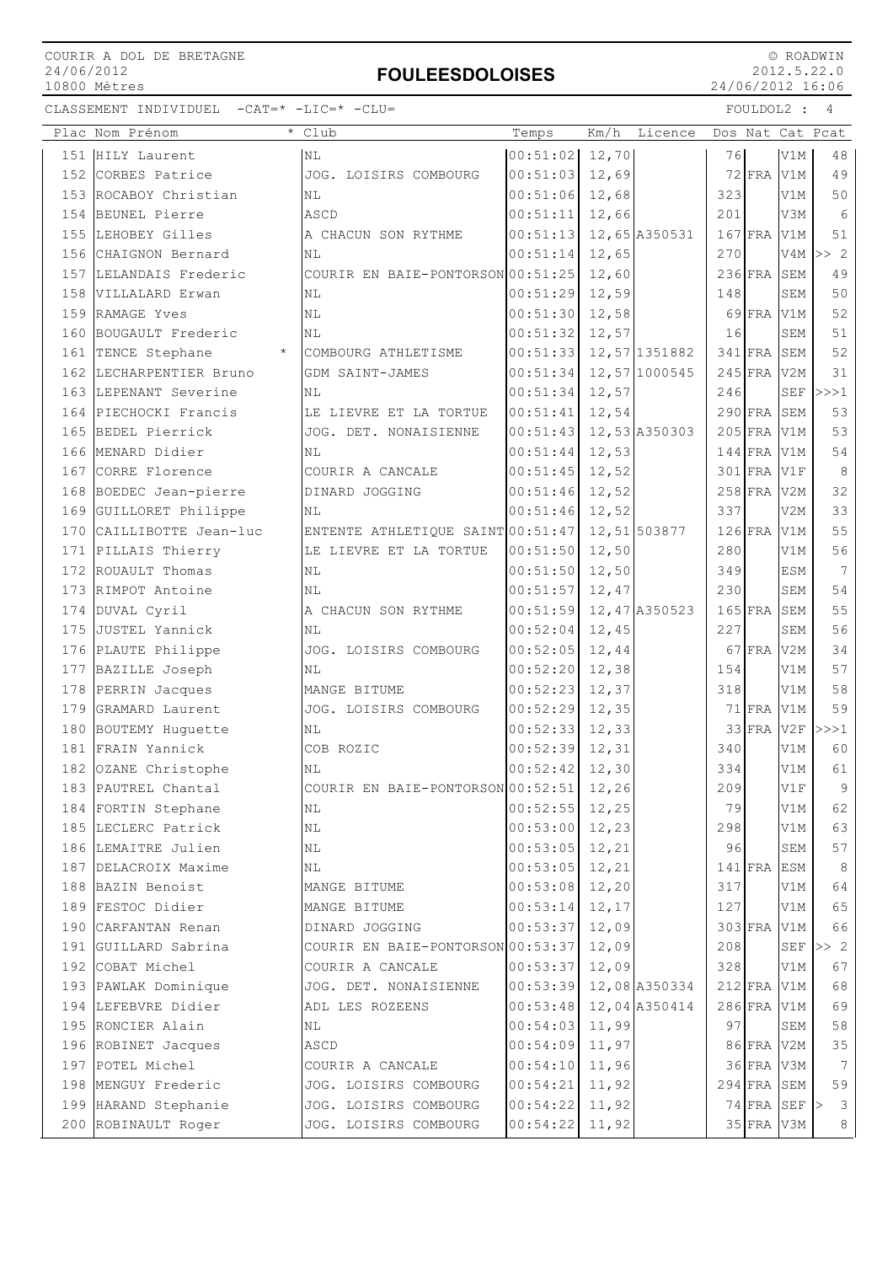### FOULEESDOLOISES

 © ROADWIN 2012.5.22.0 24/06/2012 16:06

|     | Plac Nom Prénom          | Club                                    | Temps    | Km/h   | Licence       |           |            |                | Dos Nat Cat Pcat |
|-----|--------------------------|-----------------------------------------|----------|--------|---------------|-----------|------------|----------------|------------------|
|     | 151 HILY Laurent         | NL                                      | 00:51:02 | 12,70  |               | 76        |            | V1M            | 48               |
| 152 | CORBES Patrice           | JOG. LOISIRS COMBOURG                   | 00:51:03 | 12,69  |               |           | $72$ FRA   | V1M            | 49               |
|     | 153 ROCABOY Christian    | NL                                      | 00:51:06 | 12,68  |               | 323       |            | V1M            | 50               |
| 154 | BEUNEL Pierre            | ASCD                                    | 00:51:11 | 12,66  |               | 201       |            | V3M            | 6                |
|     | 155 LEHOBEY Gilles       | A CHACUN SON RYTHME                     | 00:51:13 |        | 12,65 A350531 | $167$ FRA |            | V1M            | 51               |
|     | 156 CHAIGNON Bernard     | NL                                      | 00:51:14 | 12,65  |               | 270       |            | V4M            | >> 2             |
|     | 157 LELANDAIS Frederic   | COURIR EN BAIE-PONTORSON 00:51:25       |          | 12,60  |               |           | $236$ FRA  | SEM            | 49               |
| 158 | VILLALARD Erwan          | ΝL                                      | 00:51:29 | 12,59  |               | 148       |            | SEM            | 50               |
|     | 159 RAMAGE Yves          | ΝL                                      | 00:51:30 | 12,58  |               |           | $69$ FRA   | V1M            | 52               |
|     | 160 BOUGAULT Frederic    | NL                                      | 00:51:32 | 12,57  |               | 16        |            | SEM            | 51               |
|     | 161 TENCE Stephane       | COMBOURG ATHLETISME                     | 00:51:33 |        | 12,57 1351882 |           | $341$ FRA  | SEM            | 52               |
| 162 | LECHARPENTIER Bruno      | GDM SAINT-JAMES                         | 00:51:34 |        | 12,57 1000545 | $245$ FRA |            | V2M            | 31               |
|     | 163 LEPENANT Severine    | ΝL                                      | 00:51:34 | 12,57  |               | 246       |            | SEF            | >>>1             |
| 164 | PIECHOCKI Francis        | LE LIEVRE ET LA TORTUE                  | 00:51:41 | 12,54  |               |           | $290$ FRA  | SEM            | 53               |
|     | 165 BEDEL Pierrick       | JOG. DET. NONAISIENNE                   | 00:51:43 |        | 12,53 A350303 |           | $205$ FRA  | V1M            | 53               |
|     | 166 MENARD Didier        | NL                                      | 00:51:44 | 12,53  |               |           | $144$ FRA  | V1M            | 54               |
|     | 167 CORRE Florence       | COURIR A CANCALE                        | 00:51:45 | 12,52  |               |           | $301$ FRA  | V1F            | 8                |
|     | 168 BOEDEC Jean-pierre   | DINARD JOGGING                          | 00:51:46 | 12,52  |               | $258$ FRA |            | V2M            | 32               |
|     | 169 GUILLORET Philippe   | ΝL                                      | 00:51:46 | 12,52  |               | 337       |            | V2M            | 33               |
|     | 170 CAILLIBOTTE Jean-luc | ENTENTE ATHLETIQUE SAINT 00:51:47       |          |        | 12,51 503877  |           | $126$ FRA  | V1M            | 55               |
|     | 171 PILLAIS Thierry      | LE LIEVRE ET LA TORTUE                  | 00:51:50 | 12,50  |               | 280       |            | V1M            | 56               |
| 172 | ROUAULT Thomas           | ΝL                                      | 00:51:50 | 12,50  |               | 349       |            | <b>ESM</b>     | $7\phantom{.0}$  |
| 173 | RIMPOT Antoine           | NL                                      | 00:51:57 | 12,47  |               | 230       |            | SEM            | 54               |
|     | 174 DUVAL Cyril          | A CHACUN SON RYTHME                     | 00:51:59 |        | 12,47 A350523 | $165$ FRA |            | SEM            | 55               |
|     | 175 JUSTEL Yannick       | NL                                      | 00:52:04 | 12,45  |               | 227       |            | <b>SEM</b>     | 56               |
|     | 176 PLAUTE Philippe      | JOG. LOISIRS COMBOURG                   | 00:52:05 | 12,44  |               |           | $67$ FRA   | V2M            | 34               |
|     | 177 BAZILLE Joseph       | ΝL                                      | 00:52:20 | 12,38  |               | 154       |            | V1M            | 57               |
|     | 178 PERRIN Jacques       | MANGE BITUME                            | 00:52:23 | 12, 37 |               | 318       |            | V1M            | 58               |
|     | 179 GRAMARD Laurent      | JOG. LOISIRS COMBOURG                   | 00:52:29 | 12,35  |               |           | $71$ FRA   | V1M            | 59               |
|     | 180 BOUTEMY Huguette     | NL                                      | 00:52:33 | 12,33  |               |           | $33$ FRA   | V2F            | >>>1             |
|     | 181 FRAIN Yannick        | COB ROZIC                               | 00:52:39 | 12, 31 |               | 340       |            | V1M            | 60               |
|     | 182 OZANE Christophe     | ΝL                                      | 00:52:42 | 12,30  |               | 334       |            | V1M            | 61               |
|     | 183 PAUTREL Chantal      | COURIR EN BAIE-PONTORSON 00:52:51 12,26 |          |        |               | 209       |            | $\rm{V1F}$     | 9                |
|     | 184 FORTIN Stephane      | NL                                      | 00:52:55 | 12,25  |               | 79        |            | V1M            | 62               |
|     | 185 LECLERC Patrick      | NL                                      | 00:53:00 | 12,23  |               | 298       |            | V1M            | 63               |
|     | 186 LEMAITRE Julien      | ΝL                                      | 00:53:05 | 12,21  |               | 96        |            | SEM            | 57               |
|     | 187 DELACROIX Maxime     | ΝL                                      | 00:53:05 | 12, 21 |               | $141$ FRA |            | ESM            | 8                |
| 188 | BAZIN Benoist            | MANGE BITUME                            | 00:53:08 | 12, 20 |               | 317       |            | V1M            | 64               |
|     | 189 FESTOC Didier        | MANGE BITUME                            | 00:53:14 | 12, 17 |               | 127       |            | V1M            | 65               |
|     | 190 CARFANTAN Renan      | DINARD JOGGING                          | 00:53:37 | 12,09  |               |           | 303 FRA    | V1M            | 66               |
|     | 191 GUILLARD Sabrina     | COURIR EN BAIE-PONTORSON 00:53:37       |          | 12,09  |               | 208       |            | <b>SEF</b>     | >> 2             |
|     | 192 COBAT Michel         | COURIR A CANCALE                        | 00:53:37 | 12,09  |               | 328       |            | V1M            | 67               |
|     | 193 PAWLAK Dominique     | JOG. DET. NONAISIENNE                   | 00:53:39 |        | 12,08 A350334 |           | $212$ FRA  | V1M            | 68               |
|     | 194 LEFEBVRE Didier      | ADL LES ROZEENS                         | 00:53:48 |        | 12,04 A350414 |           | $286$ FRA  | $_{\rm V1M}$   | 69               |
|     | 195 RONCIER Alain        | ΝL                                      | 00:54:03 | 11,99  |               | 97        |            | ${\tt SEM}$    | 58               |
|     | 196 ROBINET Jacques      | ASCD                                    | 00:54:09 | 11,97  |               |           | 86 FRA     | V2M            | 35               |
|     | 197 POTEL Michel         | COURIR A CANCALE                        | 00:54:10 | 11,96  |               |           | 36 FRA V3M |                | $7\phantom{.0}$  |
| 198 | MENGUY Frederic          | JOG. LOISIRS COMBOURG                   | 00:54:21 | 11,92  |               |           | $294$ FRA  | SEM            | 59               |
|     | 199 HARAND Stephanie     | JOG. LOISIRS COMBOURG                   | 00:54:22 | 11,92  |               |           |            | $74$ FRA SEF > | $\mathcal{E}$    |
|     | 200 ROBINAULT Roger      | JOG. LOISIRS COMBOURG                   | 00:54:22 | 11,92  |               |           | 35 FRA V3M |                | 8                |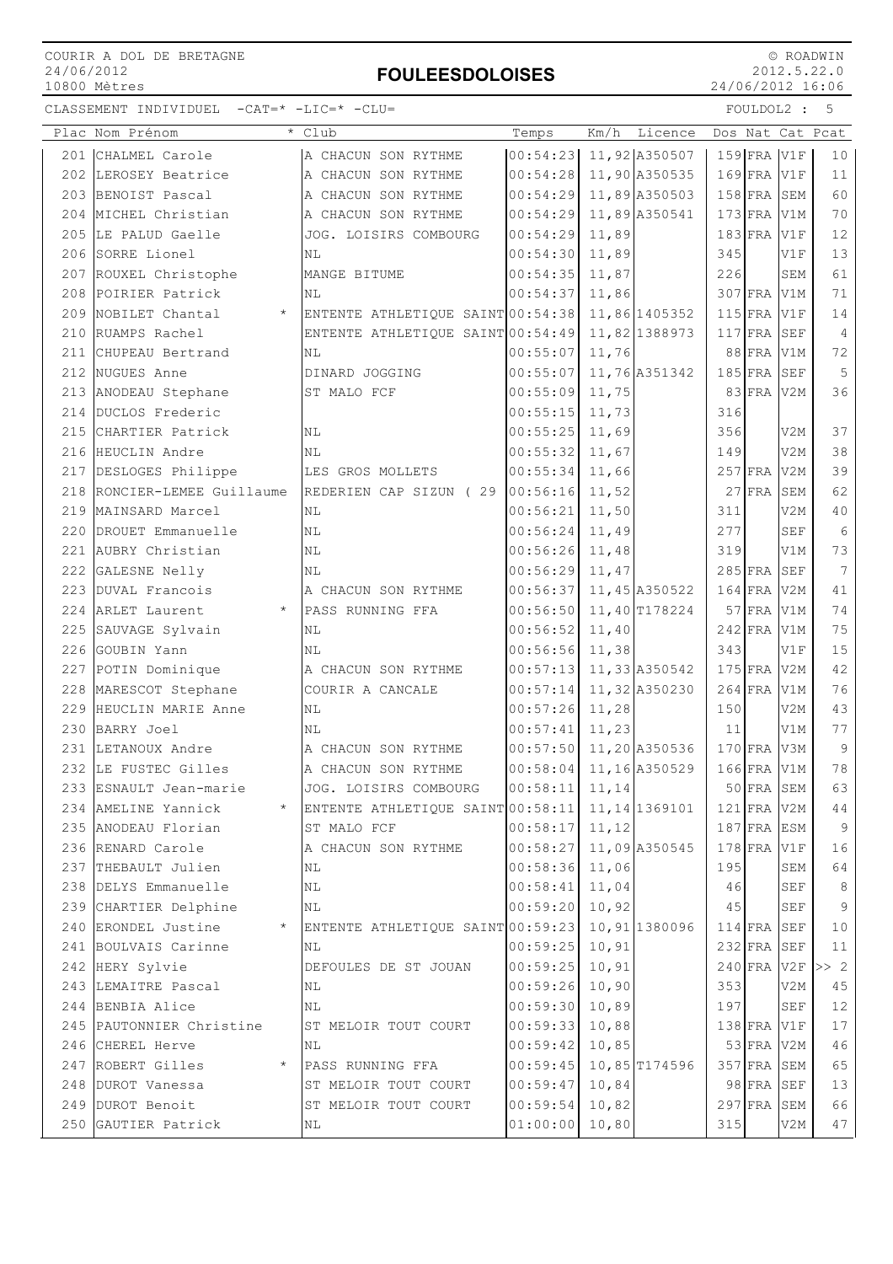## FOULEESDOLOISES

 © ROADWIN 2012.5.22.0 24/06/2012 16:06

|     | Plac Nom Prénom                | * Club                                           | Temps                      | Km/h   | Licence       |     |                   |                      | Dos Nat Cat Pcat |
|-----|--------------------------------|--------------------------------------------------|----------------------------|--------|---------------|-----|-------------------|----------------------|------------------|
|     | 201 CHALMEL Carole             | A CHACUN SON RYTHME                              | 00:54:23 11,92 A350507     |        |               |     | $159$ $FRA$ $V1F$ |                      | 10               |
|     | 202 LEROSEY Beatrice           | A CHACUN SON RYTHME                              | 00:54:28                   |        | 11,90 A350535 |     | $169$ FRA V1F     |                      | 11               |
|     | 203 BENOIST Pascal             | A CHACUN SON RYTHME                              | 00:54:29                   |        | 11,89 A350503 |     | $158$ FRA SEM     |                      | 60               |
| 204 | MICHEL Christian               | A CHACUN SON RYTHME                              | 00:54:29                   |        | 11,89 A350541 |     | $173$ FRA V1M     |                      | 70               |
|     | 205 LE PALUD Gaelle            | JOG. LOISIRS COMBOURG                            | 00:54:29                   | 11,89  |               |     | $183$ FRA V1F     |                      | 12               |
|     | 206 SORRE Lionel               | NL                                               | 00:54:30                   | 11,89  |               | 345 |                   | V1F                  | 13               |
|     | 207 ROUXEL Christophe          | MANGE BITUME                                     | 00:54:35                   | 11,87  |               | 226 |                   | SEM                  | 61               |
|     | 208 POIRIER Patrick            | ΝL                                               | 00:54:37                   | 11,86  |               |     | 307 FRA V1M       |                      | 71               |
|     | 209 NOBILET Chantal<br>$\star$ | ENTENTE ATHLETIQUE SAINT 00:54:38                |                            |        | 11,86 1405352 |     | $115$ FRA V1F     |                      | 14               |
|     | 210 RUAMPS Rachel              | ENTENTE ATHLETIQUE SAINT 00:54:49 11,82 1388973  |                            |        |               |     | $117$ FRA SEF     |                      | $\overline{4}$   |
|     | 211 CHUPEAU Bertrand           | NL                                               | 00:55:07                   | 11,76  |               |     | 88 FRA V1M        |                      | 72               |
|     | 212 NUGUES Anne                | DINARD JOGGING                                   | 00:55:07                   |        | 11,76 A351342 |     | $185$ FRA SEF     |                      | 5                |
|     | 213 ANODEAU Stephane           | ST MALO FCF                                      | 00:55:09                   | 11,75  |               |     | 83 FRA V2M        |                      | 36               |
| 214 | DUCLOS Frederic                |                                                  | 00:55:15                   | 11,73  |               | 316 |                   |                      |                  |
|     | 215 CHARTIER Patrick           | ΝL                                               | 00:55:25                   | 11,69  |               | 356 |                   | V2M                  | 37               |
|     | 216 HEUCLIN Andre              | N <sub>L</sub>                                   | 00:55:32                   | 11,67  |               | 149 |                   | V <sub>2</sub> M     | 38               |
|     | 217 DESLOGES Philippe          | LES GROS MOLLETS                                 | 00:55:34                   | 11,66  |               |     | $257$ FRA V2M     |                      | 39               |
|     | 218 RONCIER-LEMEE Guillaume    | REDERIEN CAP SIZUN (29                           | 00:56:16 11,52             |        |               |     | 27 FRA SEM        |                      | 62               |
|     | 219 MAINSARD Marcel            | N <sub>L</sub>                                   | $00:56:21$ 11,50           |        |               | 311 |                   | V2M                  | 40               |
|     | 220 DROUET Emmanuelle          | N <sub>L</sub>                                   | $00:56:24$ 11,49           |        |               | 277 |                   | <b>SEF</b>           | $6\,$            |
|     | 221 AUBRY Christian            | N <sub>L</sub>                                   | 00:56:26                   | 11,48  |               | 319 |                   | V1M                  | 73               |
|     | 222 GALESNE Nelly              | ΝL                                               | 00:56:29                   | 11,47  |               |     | $285$ FRA SEF     |                      | $7\phantom{.0}$  |
|     | 223 DUVAL Francois             | A CHACUN SON RYTHME                              | 00:56:37                   |        | 11,45 A350522 |     | $164$ FRA V2M     |                      | 41               |
|     | 224 ARLET Laurent<br>$\star$   | PASS RUNNING FFA                                 | 00:56:50                   |        | 11,40 T178224 |     | $57$ FRA          | V1M                  | 74               |
|     | 225 SAUVAGE Sylvain            | <b>NL</b>                                        | 00:56:52                   | 11,40  |               |     | $242$ FRA V1M     |                      | 75               |
|     | 226 GOUBIN Yann                | ΝL                                               | $00:56:56$ 11,38           |        |               | 343 |                   | V1F                  | 15               |
|     | 227 POTIN Dominique            | A CHACUN SON RYTHME                              | $00:57:13$ 11, 33 A 350542 |        |               |     | $175$ FRA V2M     |                      | 42               |
|     | 228 MARESCOT Stephane          | COURIR A CANCALE                                 | $00:57:14$ 11, 32 A350230  |        |               |     | 264 FRA V1M       |                      | 76               |
|     | 229 HEUCLIN MARIE Anne         | NL                                               | 00:57:26                   | 11,28  |               | 150 |                   | V2M                  | 43               |
|     | 230 BARRY Joel                 | NL                                               | 00:57:41                   | 11,23  |               | 11  |                   | V1M                  | 77               |
|     | 231 LETANOUX Andre             | A CHACUN SON RYTHME                              | 00:57:50 11,20 A350536     |        |               |     | $170$ FRA V3M     |                      | $\overline{9}$   |
|     | 232 LE FUSTEC Gilles           | A CHACUN SON RYTHME                              | 00:58:04                   |        | 11,16 A350529 |     | 166 FRA V1M       |                      | 78               |
|     | 233 ESNAULT Jean-marie         | JOG. LOISIRS COMBOURG                            | 00:58:11                   | 11,14  |               |     | $50$ FRA SEM      |                      | 63               |
|     | 234 AMELINE Yannick<br>$\star$ | ENTENTE ATHLETIQUE SAINT 00:58:11 11, 14 1369101 |                            |        |               |     | 121 FRA V2M       |                      | 44               |
|     | 235 ANODEAU Florian            | ST MALO FCF                                      | $00:58:17$ 11, 12          |        |               |     | 187 FRA ESM       |                      | 9                |
|     | 236 RENARD Carole              | A CHACUN SON RYTHME                              | $00:58:27$ 11,09 A350545   |        |               |     | $178$ FRA V1F     |                      | 16               |
|     | 237 THEBAULT Julien            | ΝL                                               | $00:58:36$ 11,06           |        |               | 195 |                   | SEM                  | 64               |
|     | 238 DELYS Emmanuelle           | NL                                               | 00:58:41                   | 11,04  |               | 46  |                   | $\operatorname{SEF}$ | $\,8\,$          |
|     | 239 CHARTIER Delphine          | NL                                               | 00:59:20                   | 10,92  |               | 45  |                   | SEF                  | 9                |
|     | 240 ERONDEL Justine<br>$\star$ | ENTENTE ATHLETIQUE SAINT 00:59:23 10, 91 1380096 |                            |        |               |     | 114 FRA SEF       |                      | 10               |
|     | 241 BOULVAIS Carinne           | ΝL                                               | $00:59:25$ 10,91           |        |               |     | $232$ FRA SEF     |                      | 11               |
|     | 242 HERY Sylvie                | DEFOULES DE ST JOUAN                             | 00:59:25                   | 10, 91 |               |     | $240$ FRA V2F     |                      | >> 2             |
|     | 243 LEMAITRE Pascal            | ΝL                                               | $00:59:26$ 10,90           |        |               | 353 |                   | V2M                  | 45               |
|     | 244 BENBIA Alice               | ΝL                                               | $00:59:30$ 10,89           |        |               | 197 |                   | SEF                  | $1\,2$           |
|     | 245 PAUTONNIER Christine       | ST MELOIR TOUT COURT                             | $00:59:33$ 10,88           |        |               |     | $138$ FRA V1F     |                      | 17               |
|     | 246 CHEREL Herve               | NL                                               | $00:59:42$ 10,85           |        |               |     | 53 FRA V2M        |                      | 46               |
|     | 247 ROBERT Gilles<br>$\star$   | PASS RUNNING FFA                                 | $00:59:45$ 10,85 T174596   |        |               |     | 357 FRA SEM       |                      | 65               |
|     | 248 DUROT Vanessa              | ST MELOIR TOUT COURT                             | 00:59:47 10,84             |        |               |     | 98 FRA SEF        |                      | 13               |
|     | 249 DUROT Benoit               | ST MELOIR TOUT COURT                             | 00:59:54                   | 10,82  |               |     | 297 FRA SEM       |                      | 66               |
|     | 250 GAUTIER Patrick            | ΝL                                               | 01:00:00                   | 10,80  |               | 315 |                   | V2M                  | 47               |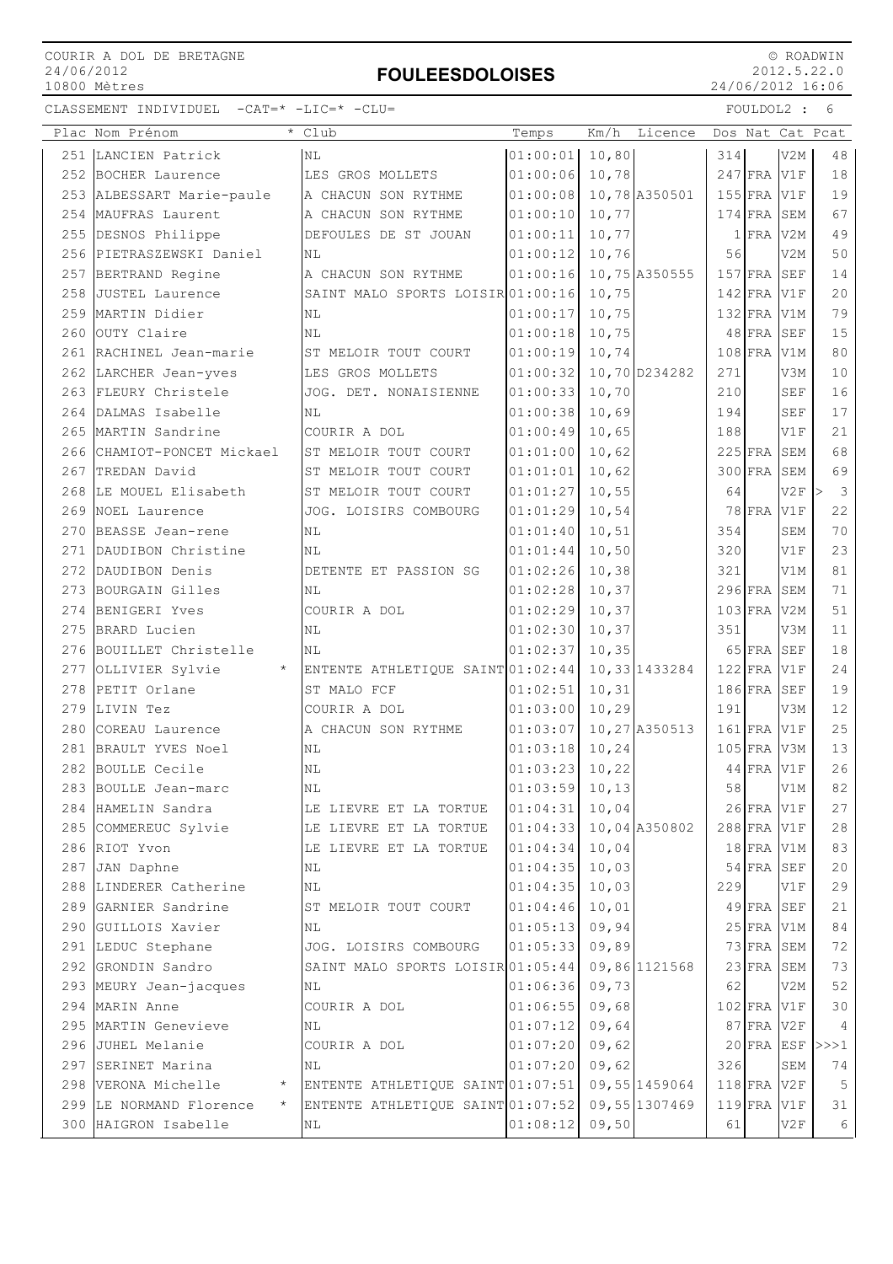## FOULEESDOLOISES

 © ROADWIN 2012.5.22.0 24/06/2012 16:06

|     | Plac Nom Prénom                    | * Club                                          | Temps            | Km/h   | Licence       |     |               |                  | Dos Nat Cat Pcat                        |
|-----|------------------------------------|-------------------------------------------------|------------------|--------|---------------|-----|---------------|------------------|-----------------------------------------|
|     | 251 LANCIEN Patrick                | ΝL                                              | 01:00:01         | 10,80  |               | 314 |               | V2M              | 48                                      |
|     | 252 BOCHER Laurence                | LES GROS MOLLETS                                | 01:00:06         | 10,78  |               |     | $247$ FRA     | V1F              | 18                                      |
|     | 253 ALBESSART Marie-paule          | A CHACUN SON RYTHME                             | 01:00:08         |        | 10,78 A350501 |     | $155$ FRA     | V1F              | 19                                      |
|     | 254 MAUFRAS Laurent                | A CHACUN SON RYTHME                             | 01:00:10         | 10,77  |               |     | $174$ FRA     | SEM              | 67                                      |
|     | 255 DESNOS Philippe                | DEFOULES DE ST JOUAN                            | 01:00:11         | 10,77  |               |     | $1$ FRA       | V <sub>2</sub> M | 49                                      |
|     | 256 PIETRASZEWSKI Daniel           | ΝL                                              | 01:00:12         | 10,76  |               | 56  |               | V2M              | 50                                      |
|     | 257 BERTRAND Regine                | A CHACUN SON RYTHME                             | 01:00:16         |        | 10,75 A350555 |     | $157$ FRA SEF |                  | 14                                      |
|     | 258 JUSTEL Laurence                | SAINT MALO SPORTS LOISIR 01:00:16               |                  | 10,75  |               |     | $142$ FRA V1F |                  | 20                                      |
|     | 259 MARTIN Didier                  | NL                                              | 01:00:17         | 10,75  |               |     | $132$ FRA V1M |                  | 79                                      |
|     | 260 OUTY Claire                    | ΝL                                              | 01:00:18         | 10,75  |               |     | $48$ FRA      | SEF              | 15                                      |
| 261 | RACHINEL Jean-marie                | ST MELOIR TOUT COURT                            | 01:00:19         | 10,74  |               |     | $108$ FRA     | V1M              | 80                                      |
|     | 262 LARCHER Jean-yves              | LES GROS MOLLETS                                | 01:00:32         |        | 10,70 D234282 | 271 |               | V3M              | 10                                      |
| 263 | FLEURY Christele                   | JOG. DET. NONAISIENNE                           | 01:00:33         | 10,70  |               | 210 |               | <b>SEF</b>       | 16                                      |
|     | 264 DALMAS Isabelle                | ΝL                                              | 01:00:38         | 10,69  |               | 194 |               | SEF              | 17                                      |
|     | 265 MARTIN Sandrine                | COURIR A DOL                                    | 01:00:49         | 10,65  |               | 188 |               | V1F              | 21                                      |
|     | 266 CHAMIOT-PONCET Mickael         | ST MELOIR TOUT COURT                            | 01:01:00         | 10,62  |               |     | $225$ FRA     | SEM              | 68                                      |
| 267 | TREDAN David                       | ST MELOIR TOUT COURT                            | 01:01:01         | 10,62  |               |     | $300$ FRA     | SEM              | 69                                      |
|     | 268 LE MOUEL Elisabeth             | ST MELOIR TOUT COURT                            | 01:01:27         | 10,55  |               | 64  |               | V2F              | $\overline{\mathbf{3}}$<br>$\mathbf{L}$ |
|     | 269 NOEL Laurence                  | JOG. LOISIRS COMBOURG                           | 01:01:29         | 10,54  |               |     | $78$ FRA      | V1F              | 22                                      |
|     | 270 BEASSE Jean-rene               | ΝL                                              | 01:01:40         | 10, 51 |               | 354 |               | SEM              | 70                                      |
| 271 | DAUDIBON Christine                 | ΝL                                              | 01:01:44         | 10,50  |               | 320 |               | V1F              | 23                                      |
| 272 | DAUDIBON Denis                     | DETENTE ET PASSION SG                           | 01:02:26         | 10,38  |               | 321 |               | V1M              | 81                                      |
| 273 | BOURGAIN Gilles                    | NL                                              | 01:02:28         | 10,37  |               |     | $296$ FRA     | <b>SEM</b>       | 71                                      |
|     | 274 BENIGERI Yves                  | COURIR A DOL                                    | 01:02:29         | 10,37  |               |     | $103$ FRA     | V <sub>2</sub> M | 51                                      |
|     | 275 BRARD Lucien                   | NL                                              | 01:02:30         | 10,37  |               | 351 |               | V3M              | 11                                      |
|     | 276 BOUILLET Christelle            | ΝL                                              | 01:02:37         | 10, 35 |               |     | $65$ FRA      | <b>SEF</b>       | 18                                      |
|     | 277 OLLIVIER Sylvie<br>$\star$     | ENTENTE ATHLETIQUE SAINT 01:02:44               |                  |        | 10,33 1433284 |     | $122$ FRA V1F |                  | 24                                      |
| 278 | PETIT Orlane                       | ST MALO FCF                                     | 01:02:51         | 10, 31 |               |     | $186$ FRA     | <b>SEF</b>       | 19                                      |
|     | 279 LIVIN Tez                      | COURIR A DOL                                    | 01:03:00         | 10,29  |               | 191 |               | V3M              | 12                                      |
| 280 | COREAU Laurence                    | A CHACUN SON RYTHME                             | 01:03:07         |        | 10,27 A350513 |     | $161$ FRA     | V1F              | 25                                      |
|     | 281 BRAULT YVES Noel               | ΝL                                              | 01:03:18         | 10, 24 |               |     | $105$ FRA     | V3M              | 13                                      |
|     | 282 BOULLE Cecile                  | NL                                              | 01:03:23         | 10, 22 |               |     | $44$ FRA      | V1F              | 26                                      |
|     | 283 BOULLE Jean-marc               | ΝL                                              | $01:03:59$ 10,13 |        |               | 58  |               | V1M              | 82                                      |
|     | 284  HAMELIN Sandra                | LE LIEVRE ET LA TORTUE                          | 01:04:31         | 10,04  |               |     | 26 FRA V1F    |                  | 27                                      |
|     | 285 COMMEREUC Sylvie               | LE LIEVRE ET LA TORTUE                          | 01:04:33         |        | 10,04 A350802 |     | $288$ FRA V1F |                  | 28                                      |
|     | 286 RIOT Yvon                      | LE LIEVRE ET LA TORTUE                          | 01:04:34         | 10,04  |               |     | $18$ FRA V1M  |                  | 83                                      |
|     | 287 JAN Daphne                     | ΝL                                              | 01:04:35         | 10,03  |               |     | $54$ FRA SEF  |                  | 20                                      |
|     | 288 LINDERER Catherine             | ΝL                                              | 01:04:35         | 10,03  |               | 229 |               | V1F              | 29                                      |
|     | 289 GARNIER Sandrine               | ST MELOIR TOUT COURT                            | 01:04:46         | 10,01  |               |     | $49$ FRA SEF  |                  | 21                                      |
|     | 290 GUILLOIS Xavier                | NL                                              | 01:05:13         | 09,94  |               |     | $25$ FRA V1M  |                  | 84                                      |
|     | 291 LEDUC Stephane                 | JOG. LOISIRS COMBOURG                           | 01:05:33         | 09,89  |               |     | 73 FRA SEM    |                  | 72                                      |
|     | 292 GRONDIN Sandro                 | SAINT MALO SPORTS LOISIR 01:05:44 09,86 1121568 |                  |        |               |     | $23$ FRA SEM  |                  | 73                                      |
|     | 293 MEURY Jean-jacques             | ΝL                                              | $01:06:36$ 09,73 |        |               | 62  |               | V2M              | 52                                      |
|     | 294 MARIN Anne                     | COURIR A DOL                                    | 01:06:55         | 09,68  |               |     | $102$ FRA V1F |                  | 30                                      |
|     | 295 MARTIN Genevieve               | ΝL                                              | 01:07:12         | 09,64  |               |     | $87$ FRA V2F  |                  | $\overline{4}$                          |
|     | 296 JUHEL Melanie                  | COURIR A DOL                                    | 01:07:20         | 09,62  |               |     | $20$ FRA ESF  |                  | >>>1                                    |
|     | 297 SERINET Marina                 | ΝL                                              | 01:07:20         | 09,62  |               | 326 |               | SEM              | 74                                      |
|     | 298 VERONA Michelle                | ENTENTE ATHLETIQUE SAINT 01:07:51               |                  |        | 09,55 1459064 |     | $118$ FRA V2F |                  | $5\phantom{.0}$                         |
|     | 299 LE NORMAND Florence<br>$\star$ | ENTENTE ATHLETIQUE SAINT 01:07:52 09,55 1307469 |                  |        |               |     | $119$ FRA     | V1F              | 31                                      |
|     | 300 HAIGRON Isabelle               | ΝL                                              | $01:08:12$ 09,50 |        |               | 61  |               | V2F              | 6                                       |